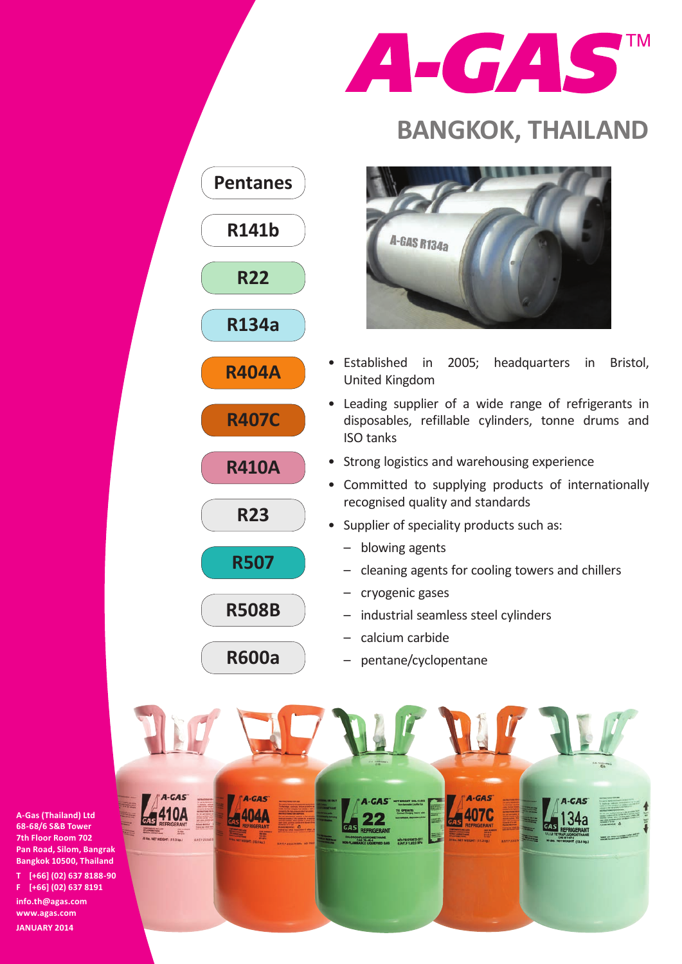

## **BANGKOK, THAILAND**



- • Established in 2005; headquarters in Bristol, United Kingdom
- Leading supplier of a wide range of refrigerants in disposables, refillable cylinders, tonne drums and ISO tanks
- Strong logistics and warehousing experience
- • Committed to supplying products of internationally recognised quality and standards
- Supplier of speciality products such as:
	- – blowing agents

**R22**

**R141b**

**Pentanes**

**R134a**

**R404A**

**R407C**

**R410A**

**R23**

**R507**

**R508B**

**R600a**

- cleaning agents for cooling towers and chillers
- – cryogenic gases
- – industrial seamless steel cylinders
- calcium carbide
- – pentane/cyclopentane



**A-Gas (Thailand) Ltd 68-68/6 S&B Tower 7th Floor Room 702 Pan Road, Silom, Bangrak Bangkok 10500, Thailand T [+66] (02) 637 8188-90 F [+66] (02) 637 8191 info.th@agas.com www.agas.com JANUARY 2014**